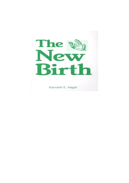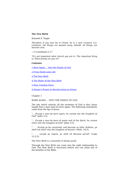# **The New Birth**

Kenneth E. Hagin

*Therefore if any man be in Christ, he is a new creature* (i.e. creation): *old things are passed away; behold, all things are become new.*

—2 Corinthians 5:17

*"It's not important what church you are in. The important thing is: What family are you in?'*

# **Contents**

1 Born Again ... Into the Family of God

2 From Death unto Life

3 The New Birth

4 The Water of the New Birth

5 New Creation Facts

A Sinner's Prayer to Receive Jesus as Savior

Chapter 1

BORN AGAIN ... INTO THE FAMILY OF GOD

The key which unlocks all the promises of God is this—Jesus taught that a man must be born again. The following statements came from the lips of Jesus:

*"... Except a man be born again, he cannot see the kingdom of God"* (John 3:3).

*"... Except a man be born of water and of the Spirit, he cannot enter into the kingdom of God"* (John 3:5).

*" . . . Except ye be converted, and become as little children, ye shall not enter into the kingdom of heaven"* (Matt. 18:3).

*" . . . except ye repent, ye shall all likewise perish"* (Luke 13:3,5).

The New Birth is a necessity to being saved.

Through the New Birth you come into the right relationship to God. The New Birth is necessary before you can claim any of the benefits of the Bible.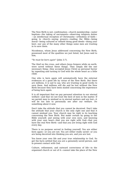The New Birth is not: confirmation—church membership—water baptism—the taking of sacraments—observing religious duties —an intellectual reception of Christianity—orthodoxy of faith going to church—saying prayers—reading the Bible—being moral—being cultured or refined doing good deeds—doing your best—nor any of the many other things some men are trusting in to save them.

Nicodemus, whom Jesus addressed concerning the New Birth, possessed most of the qualities we just listed, but Jesus said to him,

"Ye *must be born again"* (John 3:7).

The thief on the cross, and others Jesus forgave while on earth, were saved without these things. They simply did the one necessary thing—they accepted Jesus Christ as personal Savior by repenting and turning to God with the whole heart as a little child.

One who is born again will automatically have the external evidences of a good life by virtue of the New Birth. But there are millions, it is sad to say, who are trusting in good works to save them. And millions will die and be lost without the New Birth because they have been misled concerning the experience of being born again.

It is all important that we pay personal attention to our eternal welfare—and that we not trust the best of men in the matter. If we permit men to mislead us in eternal matters and are lost—it will be too late to personally see after our welfare. Do something about it now.

Don't take the attitude that you cannot be deceived. Don't take the attitude that your church is the only right one and that it cannot mislead you. Your church may be right in its teaching concerning the New Birth. But make certain by going to the Bible yourself, and seeing with your own eyes, and knowing with your own heart—that you are right with God—that you have the real New Birth—and that you are living right with God every day.

There is no purpose served in fooling yourself. You are either born again—or you are not. You are either really saved—or you are being deceived into thinking you are, and you are lost.

You know your own life and your true relationship to God. So get the facts settled that you are a genuinely saved person, and in present contact with God.

Culture, refinement, and outward correctness of life—in the organized church or out of it—cannot take the place of the New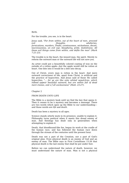Birth.

For the trouble, you see, is in the heart.

Jesus said, *"For from within, out of the heart of men, proceed evil thoughts, adulteries, fornications, murders, Thefts, covetousness, wickedness, deceit, lasciviousness, an evil eye, blasphemy, pride, foolishness: All these evil things come from within, and defile the man" (Mark 7:21-23).*

The trouble is in the heart, the inward man, the spirit. Merely to reform the outward man or the outward life will not save you.

An artist could put a beautifully colored coating of wax on the outside of a rotten apple—but the apple would still be rotten at heart. One bite into it would be a bite into decay.

Out of Christ, every man is rotten in the heart. And mere outward correctness of life, apart from Christ, is artificial and the practice of hypocrites. And Jesus said of those He called hypocrites, *"... for ye are like unto whited sepulchres, which indeed appear beautiful outward, but are within full of dead men's bones, and o f all uncleanness" (Matt. 23:27).*

Chapter 2

#### FROM DEATH UNTO LIFE

The Bible is a mystery book until we find the key that opens it. Then it ceases to be a mystery and becomes a message. There are two words which open up the Bible to our understanding and those words are *life* and *death.*

Death has been a mystery in all ages.

Science stands utterly mute in its presence, unable to explain it. Philosophy turns poetical when it meets this dread enemy of man. And theology has dealt only in generalities when attempting to explain it.

Death, that bloodhound-like foe, began its work at the cradle of the human race, and has followed the human race down through the stream of the centuries until the present hour.

Death was not a part of the Creation, nor a part of God's original plan. Even physical death is an enemy of God and an enemy of man. The Bible says in First Corinthians 15:26 that physical death is the last enemy that shall be put under foot.

Before we can understand the nature of death, however, we must understand the nature of man. Man is not a physical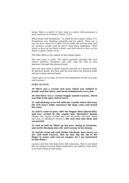being. Man is a spirit. In fact, man is a *spirit,* who possesses a *soul,* and lives in a *body* (1 Thess. 5:23).

When Jesus told Nicodemus, *"Ye must be born again"* (John 3:7), Nicodemus was thinking naturally and he asked, *"How can a man be born when he is old? Can he enter the second time into his mother's womb, and be born?"* And Jesus explained, *"That which is born of the flesh is flesh; and that which is born of the Spirit is spirit"* (John 3:4,6).

The New Birth is the rebirth of the human spirit.

The real man is spirit. The spirit operates through the soul (man's intellect, emotions, and will). And the soul in turn operates through the physical body.

Now the man (who is spirit) and his soul live in a physical body. At physical death, the man and his soul leave the physical body and go to their eternal home.

Christ gave us in Luke 16:19-24 the experience of the rich man and Lazarus.

# **LUKE 16:19-24**

**19 There was a certain rich man, which was clothed in purple and fine linen, and fared sumptuously every day:**

**20 And there was a certain beggar named Lazarus, which was laid at his gate, full of sores,**

**21 And desiring to be fed with the crumbs which fell from the rich man's table: moreover the dogs came and licked his sores.**

**22 And it came to pass, that the beggar died [physically], and was carried by the angels into Abraham's bosom** [Notice the angels carried him—not his body—but him, spirit and soul, to Abraham's bosom.]**: the rich man also died, and was buried;**

**23 And in hell he lifted up his eyes, being in torments, and seeth Abraham afar off, and Lazarus in his bosom.**

**24 And he cried and said, Father Abraham, have mercy on me, and send Lazarus, that he may dip the tip of his finger in water, and cool my tongue; for I am tormented in this flame."**

Lazarus and the rich man were still conscious. Man is not dead like an animal as some folks would have you believe. And there is no such thing as soul sleep.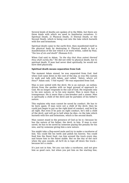Several kinds of deaths are spoken of in the Bible, but there are three kinds with which we need to familiarize ourselves: 1) Spiritual Death, 2) Physical Death, 3) Eternal Death, or the Second Death, which is being cast into the lake which burneth with fire and brimstone.

Spiritual death came to the earth first, then manifested itself in the physical body by destroying it. Physical death is but a manifestation of the law which is at work within, called by Paul, *"the law of sin and death"* (Romans 8:2).

When God said to Adam, *"In the day that thou eatest thereof thou shalt surely die,"* He did not refer to physical death, but to spiritual death. If man had never died spiritually, he would not have died physically.

#### **Spiritual death means separation from God.**

The moment Adam sinned, he was separated from God. And when God came down in the cool of the day, as was His custom to walk and talk with Adam, and called, *"Adam, where art thou?"* Adam said, *"I hid myself."* He was separated from God.

Man is now united with the devil. He is an outcast, an outlaw, driven from the garden with no legal ground of approach to God. He no longer responds to the call of God. He responds only to his new nature, or to his new master. Man is more than a transgressor. He is more than a law-breaker and a sinner. Man is spiritually a child of the devil and he partakes of his father's nature.

This explains why man cannot be saved by conduct. He has to be born again. If man were not a child of the devil, then he could just begin to put on the right kind of conduct, and he'd be all right. But even if he puts on right conduct, he's still a child of the devil, and will go to hell when he dies—to the lake which burneth with fire and brimstone, which is the second death.

Man cannot stand in the presence of God as he is—because he has the nature of his father, the devil, in him. If man is ever saved, he has to be saved by someone paying the penalty for his sins, and by someone giving him a new nature.

You might take a flop-eared mule and try to make a racehorse of him. You could file his teeth and polish his hooves. You could feed him the finest food, run him around the track every day, and house him in the finest stable. But on the day of the race when the gun sounds, all he'll do is lope off down the track because he's a mule.

It's just not in him. Yet you can take a racehorse, and not give him as good care, but when you put him on the starting line,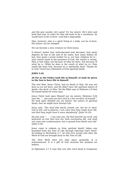and the gun sounds—he's gone! It's his nature. He's born and bred that way. In order for that old mule to be a racehorse, he would have to be re-born—and that's impossible.

Man, however, who is a spirit living in a body, can be re-born. His nature can be changed.

He can become a new creature in Christ Jesus.

It doesn't matter how well-educated man becomes, how many degrees he has at the end of his name, how many dollars he has, how good a social worker he is, nor how religious he is man cannot stand in the presence of God. His nature is wrong. Man is lost today, not because of what he does—but because of what he is. (What he does is the result of what he is.) Man needs *life* from God, because he is spiritually *dead.* Thanks be to God, Christ has redeemed us from spiritual death.

# **JOHN 5:26**

## **26 For as the Father hath life in himself; so hath he given to the Son to have life in himself.**

The new Man, Jesus Christ, had no death in Him. He was not born as we are born, and He didn't have the spiritual nature of death—the devil—in Him. Yet the Bible says in Hebrews 2:9 that He tasted death for every man.

Jesus Christ took upon Himself our sin nature. Hebrews 9:26 says He, "... *put away sin* [not sins] *b y the sacrifice of himself.* " He took upon Himself our sin nature, the nature of spiritual death, that we might have Eternal Life.

Jesus said, *"The thief* [the devil] *cometh not, but for to steal, and to kill, and to destroy: I am come that they might have life, and that they might have it more abundantly"* (John 10:10).

He also said, *" . . . I say unto you, He that heareth my word, and believeth on him that sent me, hath everlasting life, and shall not come into condemnation; but is passed from death unto life"* (John 5:24).

Jesus came to redeem us from spiritual death! Adam was banished from the Tree of Life through rejecting God's Word. According to Revelation 2:7, all who now accept and obey the Word of God are brought back to the Tree of Life.

The New Birth does not take place gradually. It is instantaneous! It is a gift of God received the moment we believe.

In Ephesians 2:1 it says that you who were dead in trespasses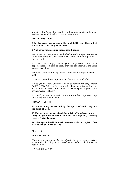and sins—that's spiritual death—He has quickened, made alive. And verses 8 and 9 tell you how it came about:

# **EPHESIANS 2:8,9**

**8 For by grace are ye saved through faith; and that not of yourselves: it is the gift of God:**

#### **9 Not of works, lest any man should boast.**

Not of works! That punctures the balloon of the ego. Man wants to do something to save himself. He wants to have a part in it. But he can't.

You have to simply admit your helplessness—and your hopelessness. You have to admit that you are just what the Bible says—a lost sinner.

Then you come and accept what Christ has wrought for you—a gift!

Have you passed from spiritual death unto spiritual life?

Is God your Father? Can you look up to heaven and say, "Father God"? Is His Spirit within your spirit bearing witness that you are a child of God? Do you have the Holy Spirit in your spirit crying, "Abba, Father"?

You do if you are born again. If you are not born again—accept Christ as your Savior today!

## **ROMANS 8:14-16**

**14 For as many as are led by the Spirit of God, they are the sons of God.**

**15 For ye have not received the spirit of bondage again to fear; but ye have received the Spirit of adoption, whereby we cry, Abba, Father.**

**16 The Spirit itself beareth witness with our spirit, that we are the children of God.**

Chapter 3

THE NEW BIRTH

*Therefore if any man be in Christ, he is a new creature* [creation] *: old things are passed away; behold, all things are become new.*

—2 Corinthians 5:17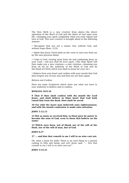The New Birth is a *new creation* from above—the direct operation of the Word of God and the Spirit of God upon your life—changing your spirit completely when you truly repent and turn to God. This *new creation* is brought about in the following manner:

• Recognize that you are a sinner, lost, without God, and without hope (Rom. 3:23).

• Admit that Jesus Christ died on the cross to save you from sin by His own precious blood.

• Come to God, turning away from sin and confessing Jesus as your Lord— *and you shall be born again.* (The Holy Spirit will then make you a new creature—a new creation—cleansing you from all sin by the authority of the Word of God and by the blood of Christ which was shed to atone for your sin.)

• Believe from your heart and confess with your mouth that God does forgive you of your sins and that you are born again.

#### *Believe and Confess*

Here are some Scriptures which show you what you have in your authority to believe and to confess:

## **ROMANS 10:9,10**

**9 That if thou shalt confess with thy mouth the Lord Jesus, and shalt believe in thine heart that God hath raised him from the dead, thou shalt be saved.**

**10 For with the heart man believeth unto righteousness; and with the mouth confession is made unto salvation.**

#### **JOHN 1:12,13**

**12 But as many as received him, to them gave he power to become the sons of God, even to them that believe on his name:**

**13 Which were born, not of blood, nor of the will of the flesh, nor of the will of man, but of God.**

# **JOHN 6:37**

## **37 ... and him that cometh to me I will in no wise cast out.**

Oh, what a basis for faith! There is no such thing as a person coming to Him and being cast out! Jesus said, *"... him that cometh to me I will in no wise cast out."*

## **JOHN 3:14-21**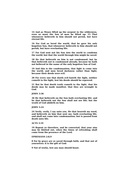**14 And as Moses lifted up the serpent in the wilderness, even so must the Son of man be lifted up: 15 That whosoever believeth in him should not perish, but have eternal life.**

**16 For God so loved the world, that he gave his only begotten Son, that whosoever believeth in him should not perish, but have everlasting life.**

**17 For God sent not his Son into the world to condemn the world; but that the world through him might be saved.**

**18 He that believeth on him is not condemned: but he that believeth not is condemned already, because he hath not believed in the name of the only begotten Son of God.**

**19 And this is the condemnation, that light is come into the world, and men loved darkness rather than light, because their deeds were evil.**

**20 For every one that doeth evil hateth the light, neither cometh to the light, lest his deeds should be reproved.**

**21 But he that doeth truth cometh to the light, that his deeds may be made manifest, that they are wrought in God.**

## **JOHN 3:36**

**36 He that believeth on the Son hath everlasting life: and he that believeth not the Son shall not see life; but the wrath of God abideth on him.**

#### **JOHN 5:24**

**24 Verily, verily, I say unto you, He that heareth my word, and believeth on him that sent me, hath everlasting life, and shall not come into condemnation; but is passed from death unto life.**

#### **ACTS 3:19**

**19 Repent ye therefore, and be converted, that your sins may be blotted out, when the times of refreshing shall come from the presence of the Lord.**

## **EPHESIANS 2:8,9**

**8 For by grace are ye saved through faith; and that not of yourselves: it is the gift of God:**

**9 Not of works, lest any man should boast.**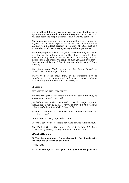You have the intelligence to see for yourself what the Bible says. Again we warn—do not listen to the interpretations of men who will tear apart the simple Scriptures and leave you confused.

They do not care for your soul or they would not seek to rob you of your true Christian experiences. If they had a love for you at all, they would at least permit you to believe the Bible just as it is. And they would encourage you to get Bible experiences.

When they fight so hard to rob you of these benefits, you would be a fool not to wake up and see that they are agents of the devil in sending men to hell. It matters not that they are the most refined and wonderful religious men you have ever met they are not ministers of God if they are robbing you of God's blessing.

The Bible says, *"And no marvel; for Satan himself is transformed into an angel of light.*

*Therefore it is no great thing if his ministers also be transformed as the ministers of righteousness; whose end shall be according to their works"* (2 Cor. 11:14,15).

#### Chapter 4

#### THE WATER OF THE NEW BIRTH

We read that Jesus said, *"Marvel not that I said unto thee, Ye must be born again"* (John 3:7).

Just before He said that, Jesus said, "... *Verily, verily, I say unto thee, Except a man be born of water and of the Spirit, he cannot enter into the kingdom of God"* (John 3:5).

What is the *water* of the New Birth? What does this water of the New Birth mean?

Does it refer to being baptized in water?

Does that save you? No, that is not what Jesus is talking about.

The Word of God is the water referred to in John 3:5. Let's prove that by looking through a number of Scriptures.

## **EPHESIANS 5:26**

**26 That he might sanctify and cleanse it [the church] with the washing of water by the word.**

#### **JOHN 6:63**

**63 It is the spirit that quickeneth; the flesh profiteth**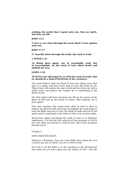**nothing: the words that I speak unto you, they are spirit, and they are life.**

## **JOHN 15:3**

**3 Now ye are clean through the word which I have spoken unto you.**

#### **JOHN 17:17**

**17 Sanctify them through thy truth: thy word is truth.**

## **1 PETER 1:23**

**23 Being born again, not of corruptible seed, but of incorruptible, by the word of God, which liveth and abideth for ever.**

# **JAMES 1:18**

#### **18 Of his own will begat he us with the word of truth, that we should be a kind of firstfruits of his creatures.**

One must believe what the Word of God says about man—that man is a sinner and that Christ died to save him from all sin. Then if man will confess his sins to God and turn from sin with a whole heart and believe the Gospel—he is conforming to the Word of God.

The Holy Spirit will then transform his life by the power of the Word of God and by the blood of Christ. That moment—he is born again!

This new creation—the newly born child of God—is then to believe the Word of God and walk accordingly. He must begin to read the Bible and pray to God. He needs to walk and live in the spirit and be conformed to the Word of God as he receives light.

Being born again—becoming the child of God—is of foremost importance. It is the key that unlocks all the promises of God to you. For when you become a child of God—then God's promises become yours.

#### Chapter 5

#### NEW CREATION FACTS

Believers, Christians—here are some Bible facts about the *new creation* you are in Christ: *You Are a Child of God*

No truth in all the Bible is as far reaching as the blessed fact that when we are born again into the family of God— *God the*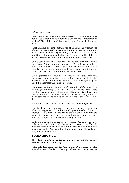## *Father is our Father.*

He cares for us! He is interested in us—each of us individually not just as a group, or as a body or a church. He is interested in each of His children and loves each one of us with the same love.

Much is heard about the *fatherhood* of God and the *brotherhood* of man, but Jesus said to some very religious people, "You are of your father the devil" (John 8:44). God is the Creator of all mankind, but a man must be born again to become His child. He is God to the world, but Father only to the new creation man.

God is your very own Father. You are His very own child. And if He is your Father, you can be assured He will take a father's place and perform a father's part. You can be certain that as your Father He loves you, and will take care of you. (See John 14:23; John 16:23,27; Matt. 6:8,9,26, 30-34; Matt. 7:11.)

Get acquainted with your Father through the Word. When you were saved, you were born into His family as a spiritual baby. Babies in the natural must eat natural food to develop and grow. The Bible instructs the children of God:

*" A s newborn babes, desire the sincere milk of the word, that ye may grow thereby* . . . " (1 Peter 2:2). It is in the Word where we find out about our Father, about His love, His nature, how He cares for us, and how He loves us. He is everything the Word says He is. He will do everything the Word says He will do.

#### *You Are a New Creature—A New Creation—A New Species*

I'm glad I am a new creature. I was only 15, but I remember when it happened. Something took place inside of me. It seemed as if a two-ton load rolled off my chest. Not only did something depart from me—but something came into me. I was not the same person. There was a change inside.

In the New Birth, our spirits are recreated. (Our bodies are not. It is in our spirit where all things have become new. We still have the same bodies we always had.) There is a man who lives inside the body. Paul calls him the *inward man.* (He calls the body the *outward man.)*

#### **2 CORINTHIANS 4:16**

## **16 ... but though our outward man perish, yet the inward man is renewed day by day.**

Peter calls this inner man *the hidden man of the heart* (1 Peter 3:4). This man is hidden to the physical eye. No one can see the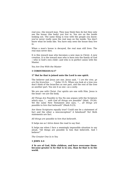real you—the inward man. They may think they do but they only see the house (the body) you live in. You are on the inside looking out. The same thing is true with the people you know: you've never really seen the real man on the inside. You don't know what he looks like. You have only seen the house they live in.

When a man's house is decayed, the real man still lives. The real man never dies.

It is this inward man who becomes a new man in Christ. A new creation. It is the inward man who is born into the family of God —who is God's own child—and who is in perfect union with the Master.

*You Are One With the Master*

# **1 CORINTHIANS 6:17**

## **17 But he that is joined unto the Lord is one spirit.**

The believer and Jesus are one. Jesus said, *" I am the vine, ye are the branches . . . "* (John 15:5). When you look at a tree you don't think of the branches as one part, and the rest of the tree as another part. You see it as one—as a unity.

We are one with Christ. Our spirits are one with Him. Jesus is the head—we are the body.

*All Things Are Possible to You* No one argues with the Scripture which says, "... *with God all things are possible"* (Matt. 19:26). Yet the same New Testament also says, "... *all things are possible to him that believeth"* (Mark 9:23).

Are these Scriptures equally true? Could one be a statement of fact and the other a misconception? A falsehood? No! Both statements are fact.

*All things are possible to him that believeth.*

It helps me as I drive down the road to say that.

It helps me when I face a seemingly impossible situation to say aloud, "All things are possible to him that believeth. And I believe!"

*The Greater One Is in You*

#### **1 JOHN 4:4**

**4 Ye are of God, little children, and have overcome them: because greater is he that is in you, than he that is in the world.**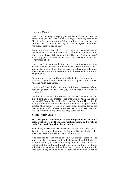## *"Ye are of God...."*

This is another way of saying you are born of God. It says the same thing Second Corinthians 5:17 says: that if any man be in Christ he is a new creation. John is telling us we are born of God, that we have been born again, that *our spirits have been recreated,* that we are *of God.*

Sadly, many Christians don't know they are born of God—and that they have received Eternal Life (the life and nature of God). They think Eternal Life is something they are "going to have" when they get to heaven. Many think they have simply received forgiveness of sins.

If we have just been taught that our sins are forgiven and that we will remain justified only if we walk carefully before Godand we have never been taught that the nature and substance of God is within our spirits—then sin and Satan will continue to reign over us.

But when we know that the man on the inside, the real man, has been *born again* and is a *new self* in Christ Jesus—then we will rule and reign over Satan.

*"Ye are of God, little children, and have overcome them: because greater is he that is in you, than he that is in the world"* (1 John 4:4).

He that is in the world is the god of this world—Satan (2 Cor. 4:4). But thank God, greater is He who is in us than the god of this world! Greater is He that is in us than Satan. He that is in us is greater than demons. He is greater than evil spirits. He is greater than sickness. He is greater than disease. He is the Greater One! And He lives in me! He lives in you! He that is *in you* is greater than any force you may come against.

# **2 CORINTHIANS 6:16**

## **16 ... for ye are the temple of the living God; as God hath said, I will dwell in them, and walk in them; and I will be their God, and they shall be my people.**

How many Christians are conscious of the fact that God is dwelling in them? It sounds farfetched. But what does this Scripture mean if it does not mean what it says?

It is time for the Church to become "God-inside" minded. Too long it has been weakness-minded, sickness-minded, inferioritycomplex-minded, trouble-and-poverty-minded. That's all we've talked and thought about until a serious condition of doubt, unbelief, and spiritual failure has been created in the church. This psychology of unbelief has robbed us of vibrant Christian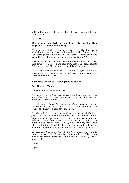faith and living, and of the abundant life Jesus intended that we should have.

# **JOHN 10:10**

# **10 . . . I am come that they might have life, and that they might have it more abundantly.**

When we know that the Life-Giver indwells us—that the Author of all life everywhere has condescended in the Person of His Son, through the power of the Holy Spirit, to come down and live within us—then our very beings shall radiate *Life!*

"Greater is He that is in you than he that is in the world." Grasp that. You are of God. You are born from above. The same mighty Spirit who raised Christ from the dead dwells in you.

It's no wonder the Bible says, "... *all things are possible to him that believeth.* " It is because the God with whom all things are possible lives within us!

# **A Sinner's Prayer to Receive Jesus as Savior**

Dear Heavenly Father,

I come to You in the Name of Jesus.

Your Word says, *"... him that cometh to me I will in no wise cast out"* (John 6:37), so I know You won't cast me out, but You take me in and I thank You for it.

You said in Your Word, *"Whosoever shall call upon the name of the Lord shall be saved"* (Rom. 10:13). I am calling on Your Name, so I know You have saved me now.

You also said *"... if thou shalt confess with thy mouth the Lord Jesus, and shalt believe in thine heart that God hath raised him from the dead, thou shalt be saved. For with the heart man believeth unto righteousness; and with the mouth confession is made unto salvation"* (Rom. 10:9-10). I believe in my heart Jesus Christ is the Son of God. I believe that He was raised from the dead for my justification, and I confess Him now as my Lord.

Because Your Word says, *"... with the heart man believeth unto righteousness ..."* and I do believe with my heart, I have now become the righteousness of God in Christ (2 Cor. 5:21)... And I am saved!

Thank You, Lord!

Signed  $\Box$